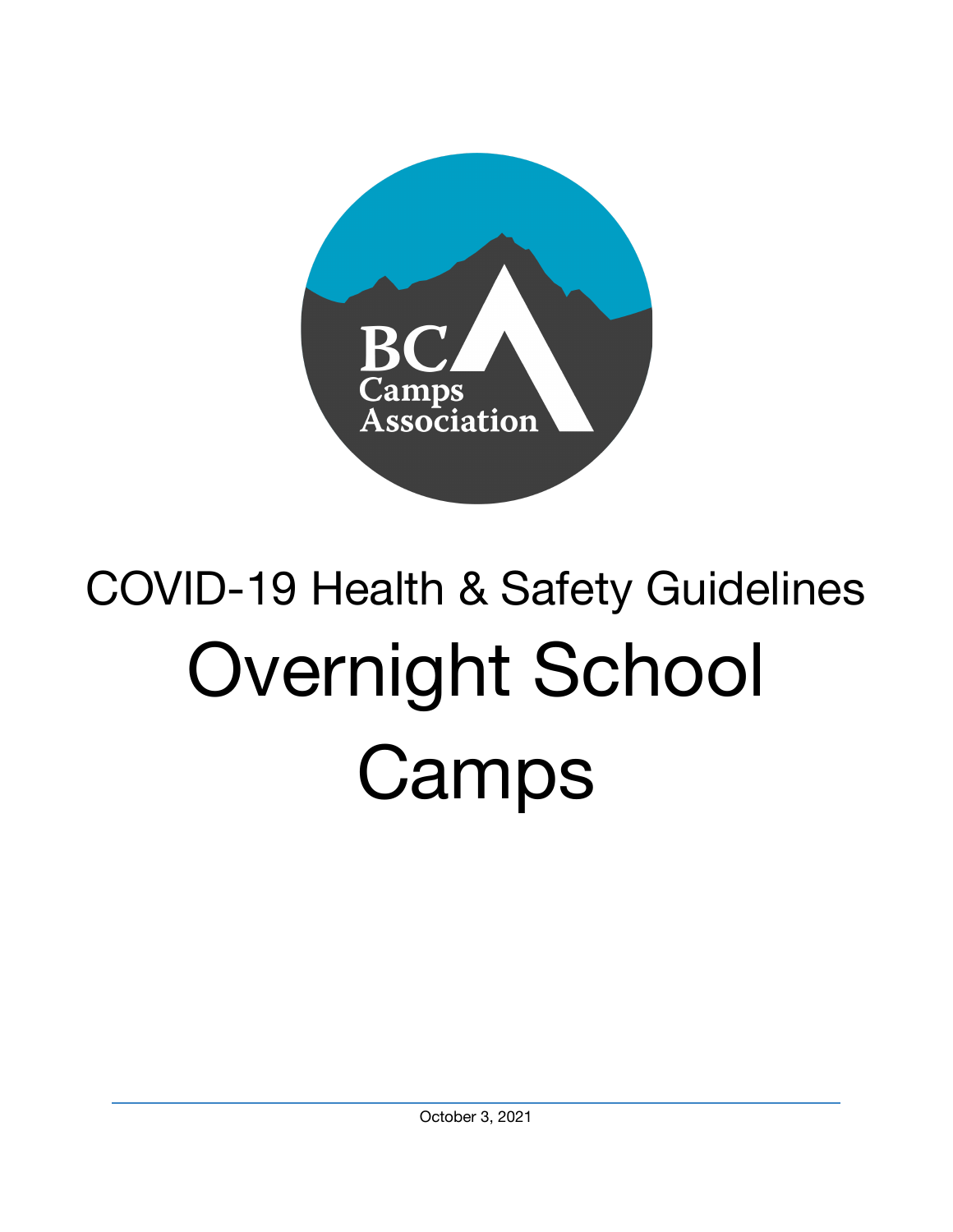

# COVID-19 Health & Safety Guidelines Overnight School Camps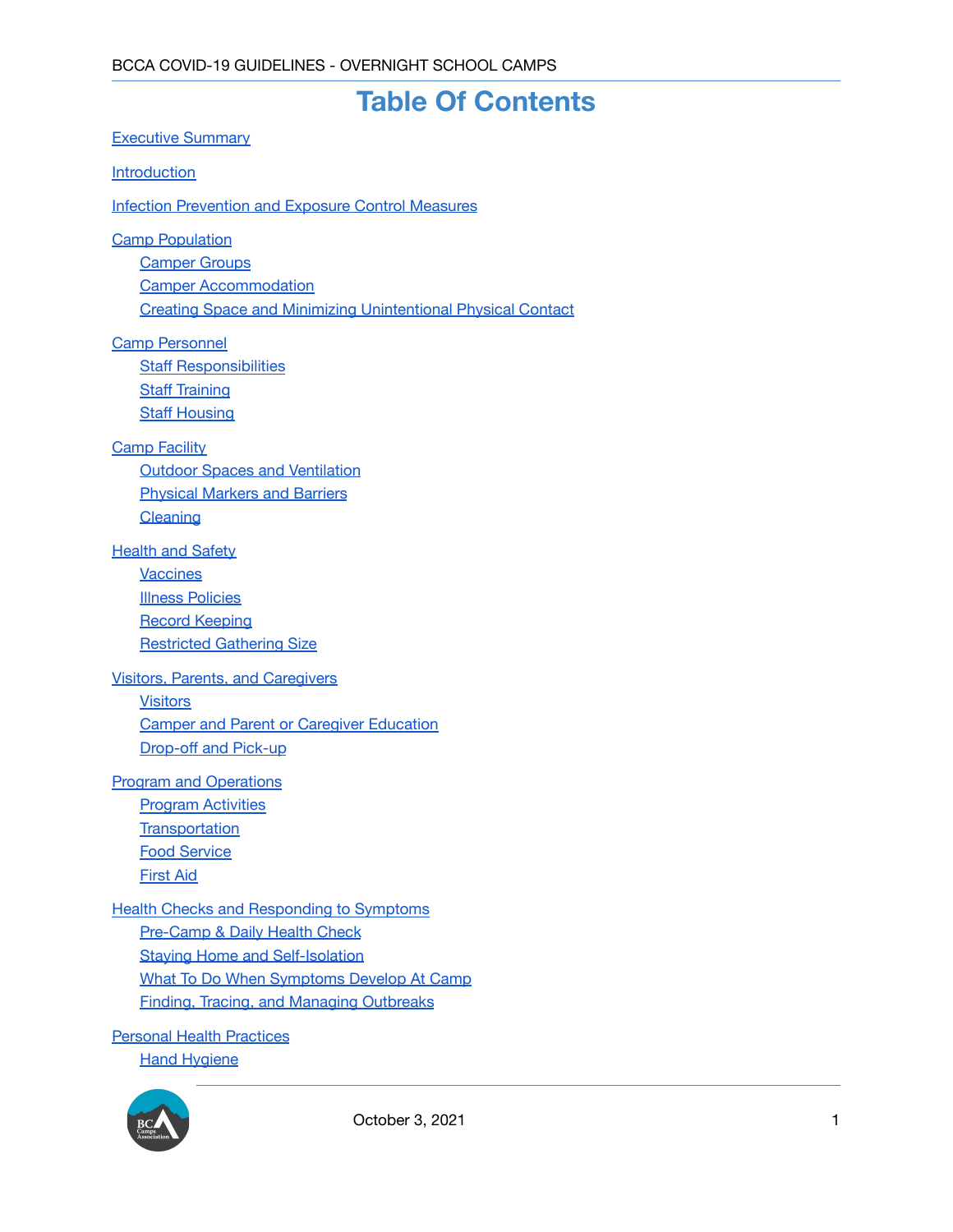## **Table Of Contents**

[Executive](#page-3-0) Summary

**[Introduction](#page-3-1)** 

Infection [Prevention](#page-5-0) and Exposure Control Measures

**Camp [Population](#page-6-0)** 

[Camper](#page-6-1) Groups

Camper [Accommodation](#page-7-0)

Creating Space and Minimizing [Unintentional](#page-7-1) Physical Contact

Camp [Personnel](#page-7-2)

**Staff [Responsibilities](#page-7-3)** Staff [Training](#page-8-0) Staff [Housing](#page-8-1)

#### Camp [Facility](#page-8-2)

Outdoor Spaces and [Ventilation](#page-8-3) [Physical](#page-9-0) Markers and Barriers **[Cleaning](#page-9-1)** 

#### **[Health](#page-9-2) and Safety**

**[Vaccines](#page-9-3)** Illness [Policies](#page-9-4) Record [Keeping](#page-10-0) [Restricted](#page-10-1) Gathering Size

#### Visitors, Parents, and [Caregivers](#page-10-2)

**[Visitors](#page-10-3)** Camper and Parent or Caregiver [Education](#page-10-4) [Drop-off](#page-11-0) and Pick-up

#### Program and [Operations](#page-11-1)

Program [Activities](#page-11-2) **[Transportation](#page-11-3)** Food [Service](#page-12-0) [First](#page-12-1) Aid

#### Health Checks and [Responding](#page-13-0) to Symptoms

[Pre-Camp](#page-13-1) & Daily Health Check Staying Home and [Self-Isolation](#page-14-0) What To Do When [Symptoms](#page-14-1) Develop At Camp Finding, Tracing, and Managing [Outbreaks](#page-15-0)

Personal Health [Practices](#page-15-1)

**Hand [Hygiene](#page-15-2)** 

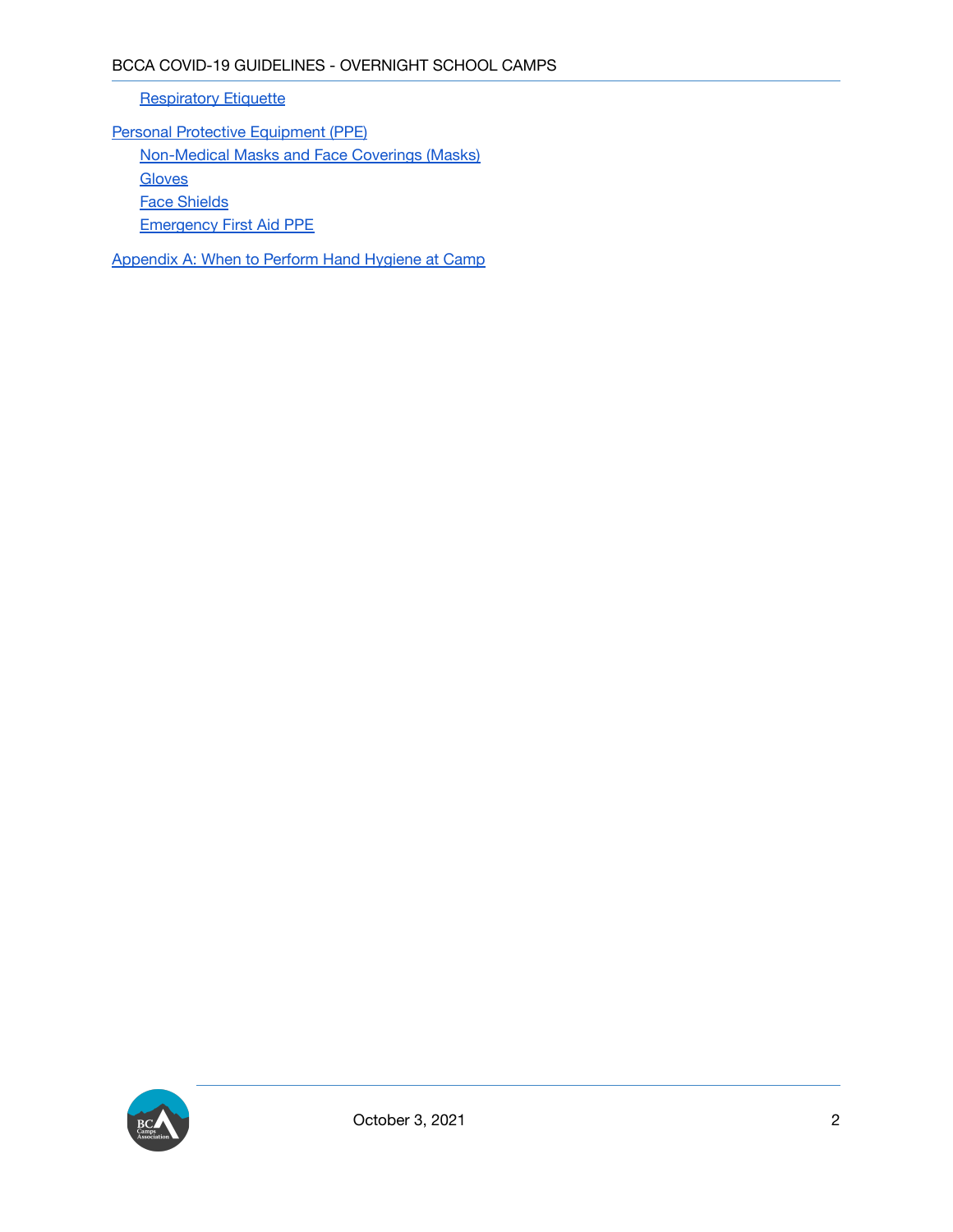**[Respiratory](#page-15-3) Etiquette** 

Personal Protective [Equipment](#page-16-0) (PPE) [Non-Medical](#page-16-1) Masks and Face Coverings (Masks) **[Gloves](#page-16-2)** Face [Shields](#page-16-3) [Emergency](#page-16-4) First Aid PPE

[Appendix](#page-18-0) A: When to Perform Hand Hygiene at Camp

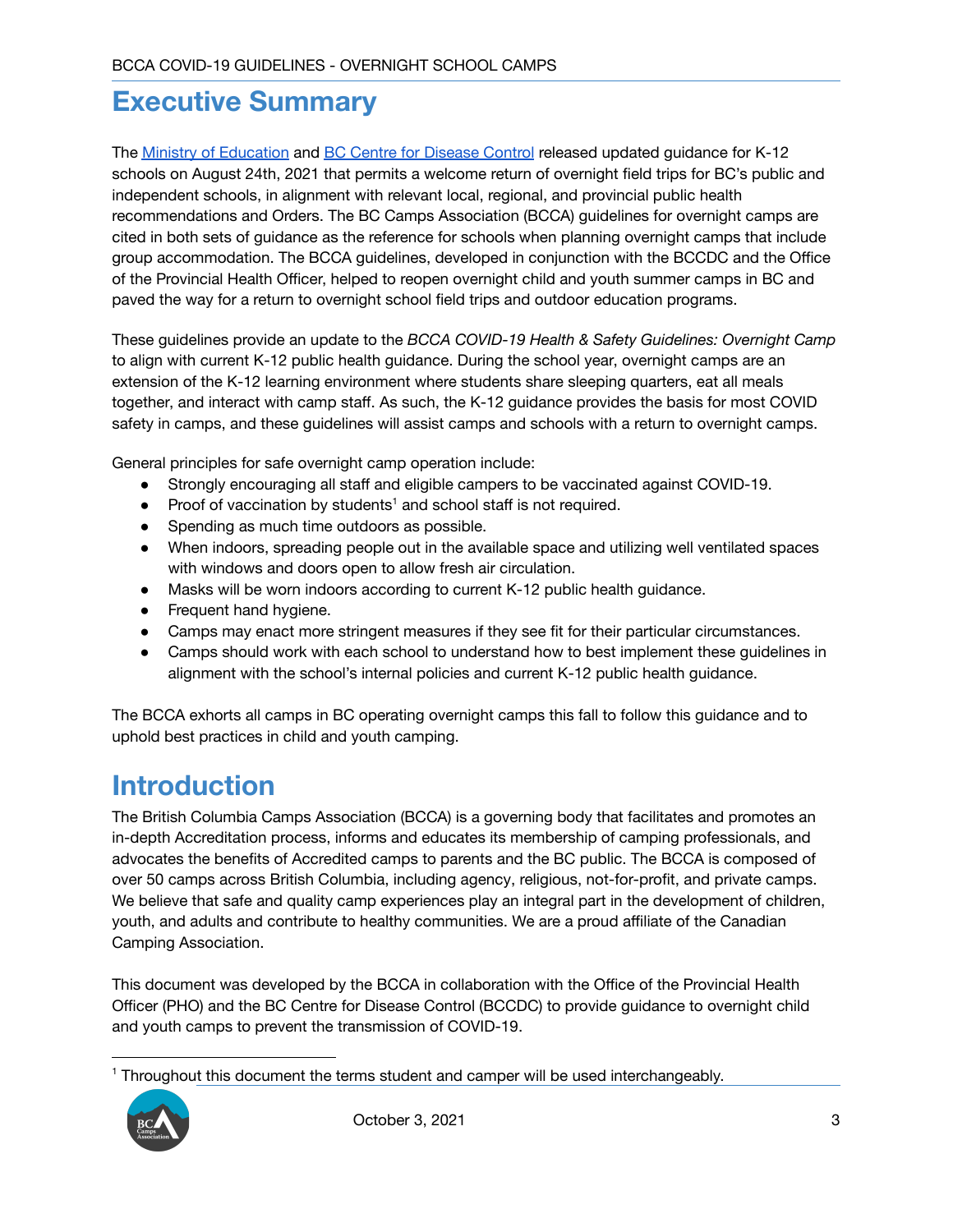## <span id="page-3-0"></span>**Executive Summary**

The Ministry of [Education](https://www2.gov.bc.ca/assets/gov/education/administration/kindergarten-to-grade-12/safe-caring-orderly/k-12-covid-19-health-safety-guidlines.pdf) and BC Centre for [Disease](http://www.bccdc.ca/Health-Info-Site/Documents/COVID_public_guidance/Guidance-k-12-schools.pdf) Control released updated guidance for K-12 schools on August 24th, 2021 that permits a welcome return of overnight field trips for BC's public and independent schools, in alignment with relevant local, regional, and provincial public health recommendations and Orders. The BC Camps Association (BCCA) guidelines for overnight camps are cited in both sets of guidance as the reference for schools when planning overnight camps that include group accommodation. The BCCA guidelines, developed in conjunction with the BCCDC and the Office of the Provincial Health Officer, helped to reopen overnight child and youth summer camps in BC and paved the way for a return to overnight school field trips and outdoor education programs.

These guidelines provide an update to the *BCCA COVID-19 Health & Safety Guidelines: Overnight Camp* to align with current K-12 public health guidance. During the school year, overnight camps are an extension of the K-12 learning environment where students share sleeping quarters, eat all meals together, and interact with camp staff. As such, the K-12 guidance provides the basis for most COVID safety in camps, and these guidelines will assist camps and schools with a return to overnight camps.

General principles for safe overnight camp operation include:

- Strongly encouraging all staff and eligible campers to be vaccinated against COVID-19.
- Proof of vaccination by students<sup>1</sup> and school staff is not required.
- Spending as much time outdoors as possible.
- When indoors, spreading people out in the available space and utilizing well ventilated spaces with windows and doors open to allow fresh air circulation.
- Masks will be worn indoors according to current K-12 public health guidance.
- Frequent hand hygiene.
- Camps may enact more stringent measures if they see fit for their particular circumstances.
- Camps should work with each school to understand how to best implement these guidelines in alignment with the school's internal policies and current K-12 public health guidance.

The BCCA exhorts all camps in BC operating overnight camps this fall to follow this guidance and to uphold best practices in child and youth camping.

## <span id="page-3-1"></span>**Introduction**

The British Columbia Camps Association (BCCA) is a governing body that facilitates and promotes an in-depth Accreditation process, informs and educates its membership of camping professionals, and advocates the benefits of Accredited camps to parents and the BC public. The BCCA is composed of over 50 camps across British Columbia, including agency, religious, not-for-profit, and private camps. We believe that safe and quality camp experiences play an integral part in the development of children, youth, and adults and contribute to healthy communities. We are a proud affiliate of the Canadian Camping Association.

This document was developed by the BCCA in collaboration with the Office of the Provincial Health Officer (PHO) and the BC Centre for Disease Control (BCCDC) to provide guidance to overnight child and youth camps to prevent the transmission of COVID-19.

<sup>&</sup>lt;sup>1</sup> Throughout this document the terms student and camper will be used interchangeably.

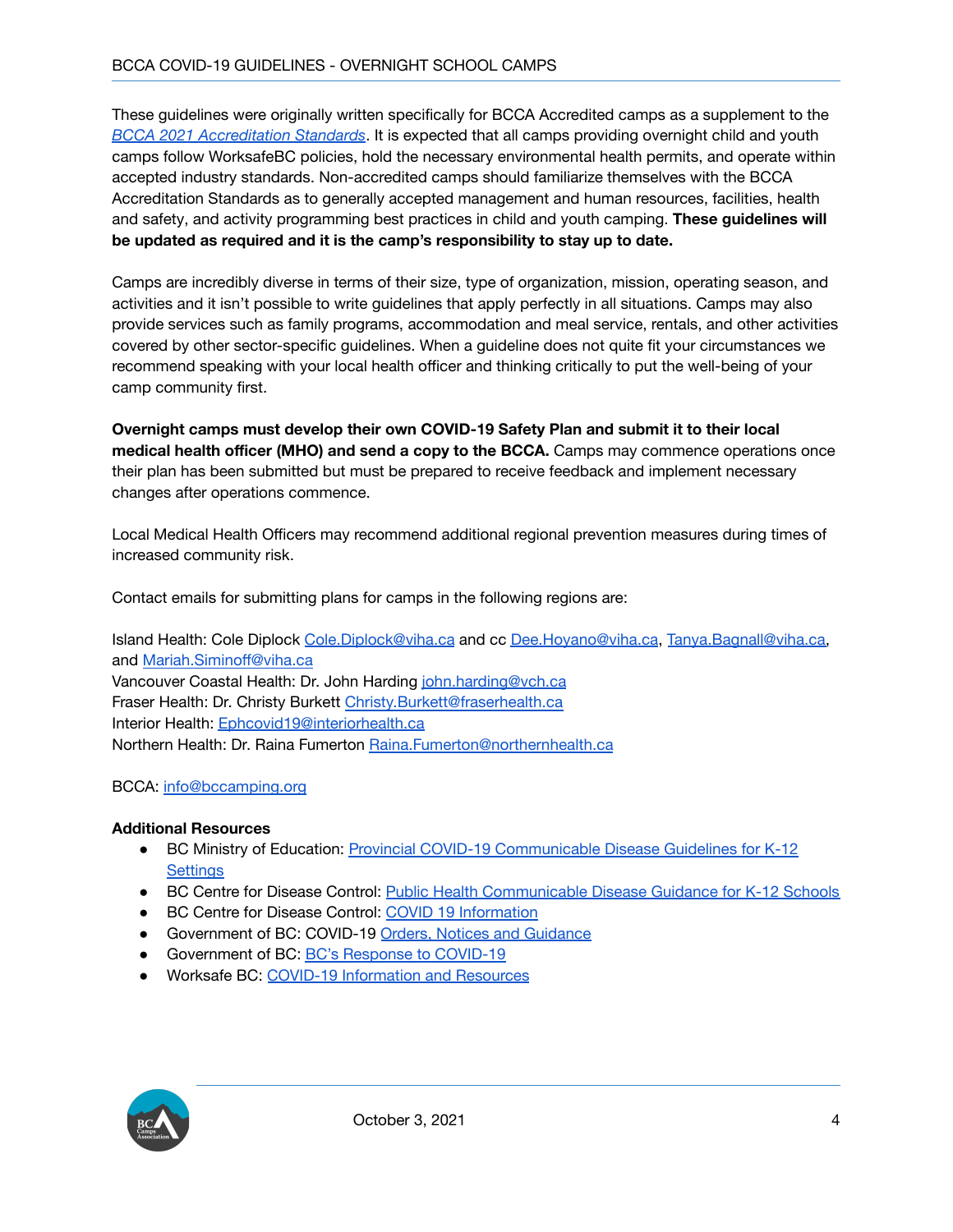These guidelines were originally written specifically for BCCA Accredited camps as a supplement to the *BCCA 2021 [Accreditation](http://bccamps.org/resources/Documents/BCCA%202021%20Accreditation%20Standards.pdf) Standards*. It is expected that all camps providing overnight child and youth camps follow WorksafeBC policies, hold the necessary environmental health permits, and operate within accepted industry standards. Non-accredited camps should familiarize themselves with the BCCA Accreditation Standards as to generally accepted management and human resources, facilities, health and safety, and activity programming best practices in child and youth camping. **These guidelines will be updated as required and it is the camp's responsibility to stay up to date.**

Camps are incredibly diverse in terms of their size, type of organization, mission, operating season, and activities and it isn't possible to write guidelines that apply perfectly in all situations. Camps may also provide services such as family programs, accommodation and meal service, rentals, and other activities covered by other sector-specific guidelines. When a guideline does not quite fit your circumstances we recommend speaking with your local health officer and thinking critically to put the well-being of your camp community first.

**Overnight camps must develop their own COVID-19 Safety Plan and submit it to their local medical health officer (MHO) and send a copy to the BCCA.** Camps may commence operations once their plan has been submitted but must be prepared to receive feedback and implement necessary changes after operations commence.

Local Medical Health Officers may recommend additional regional prevention measures during times of increased community risk.

Contact emails for submitting plans for camps in the following regions are:

Island Health: Cole Diplock [Cole.Diplock@viha.ca](mailto:Cole.Diplock@viha.ca) and cc [Dee.Hoyano@viha.ca](mailto:Dee.Hoyano@viha.ca), [Tanya.Bagnall@viha.ca,](mailto:Tanya.Bagnall@viha.ca) and [Mariah.Siminoff@viha.ca](mailto:Mariah.Siminoff@viha.ca) Vancouver Coastal Health: Dr. John Harding [john.harding@vch.ca](mailto:john.harding@vch.ca) Fraser Health: Dr. Christy Burkett [Christy.Burkett@fraserhealth.ca](mailto:Christy.Burkett@fraserhealth.ca) Interior Health: [Ephcovid19@interiorhealth.ca](mailto:Ephcovid19@interiorhealth.ca) Northern Health: Dr. Raina Fumerton [Raina.Fumerton@northernhealth.ca](mailto:Raina.Fumerton@northernhealth.ca)

#### BCCA: [info@bccamping.org](mailto:info@bccamping.org)

#### **Additional Resources**

- BC Ministry of Education: Provincial COVID-19 [Communicable](https://www2.gov.bc.ca/assets/gov/education/administration/kindergarten-to-grade-12/safe-caring-orderly/k-12-covid-19-health-safety-guidlines.pdf) Disease Guidelines for K-12 **[Settings](https://www2.gov.bc.ca/assets/gov/education/administration/kindergarten-to-grade-12/safe-caring-orderly/k-12-covid-19-health-safety-guidlines.pdf)**
- BC Centre for Disease Control: Public Health [Communicable](http://www.bccdc.ca/Health-Info-Site/Documents/COVID_public_guidance/Guidance-k-12-schools.pdf) Disease Guidance for K-12 Schools
- BC Centre for Disease Control: COVID 19 [Information](http://www.bccdc.ca/health-info/diseases-conditions/covid-19?utm_campaign=20200311_GCPE_AM_COVID_2_NOTIFICATION_BCGOV_BCGOV_EN_BC__NOTIFICATION)
- Government of BC: COVID-19 Orders, Notices and [Guidance](https://www2.gov.bc.ca/gov/content/health/about-bc-s-health-care-system/office-of-the-provincial-health-officer/current-health-topics/covid-19-novel-coronavirus)
- Government of BC: BC's Response to [COVID-19](https://www2.gov.bc.ca/gov/content/safety/emergency-preparedness-response-recovery/covid-19-provincial-support)
- Worksafe BC: COVID-19 [Information](https://www.worksafebc.com/en/about-us/covid-19-updates) and Resources

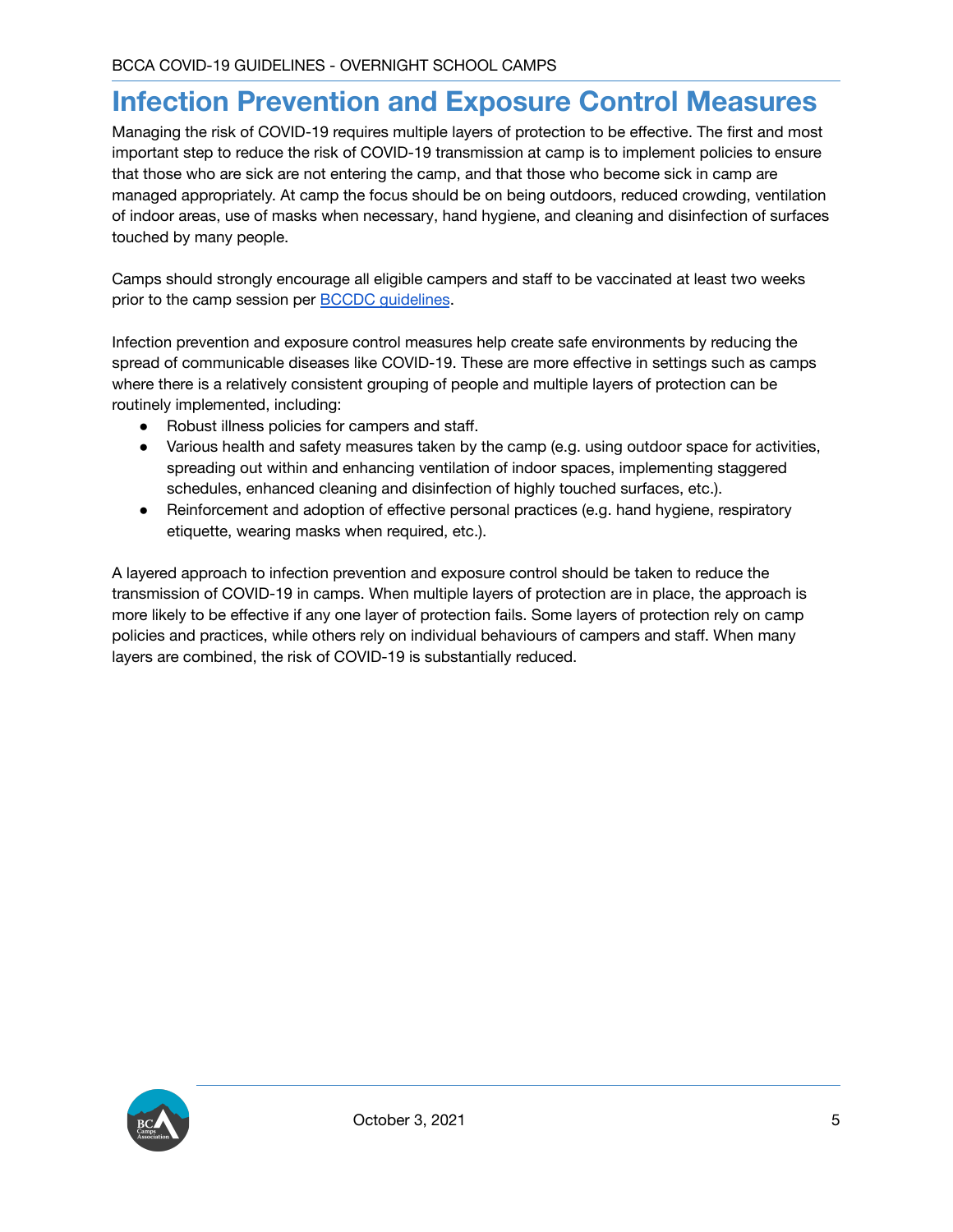## <span id="page-5-0"></span>**Infection Prevention and Exposure Control Measures**

Managing the risk of COVID-19 requires multiple layers of protection to be effective. The first and most important step to reduce the risk of COVID-19 transmission at camp is to implement policies to ensure that those who are sick are not entering the camp, and that those who become sick in camp are managed appropriately. At camp the focus should be on being outdoors, reduced crowding, ventilation of indoor areas, use of masks when necessary, hand hygiene, and cleaning and disinfection of surfaces touched by many people.

Camps should strongly encourage all eligible campers and staff to be vaccinated at least two weeks prior to the camp session per **BCCDC** quidelines.

Infection prevention and exposure control measures help create safe environments by reducing the spread of communicable diseases like COVID-19. These are more effective in settings such as camps where there is a relatively consistent grouping of people and multiple layers of protection can be routinely implemented, including:

- Robust illness policies for campers and staff.
- Various health and safety measures taken by the camp (e.g. using outdoor space for activities, spreading out within and enhancing ventilation of indoor spaces, implementing staggered schedules, enhanced cleaning and disinfection of highly touched surfaces, etc.).
- Reinforcement and adoption of effective personal practices (e.g. hand hygiene, respiratory etiquette, wearing masks when required, etc.).

A layered approach to infection prevention and exposure control should be taken to reduce the transmission of COVID-19 in camps. When multiple layers of protection are in place, the approach is more likely to be effective if any one layer of protection fails. Some layers of protection rely on camp policies and practices, while others rely on individual behaviours of campers and staff. When many layers are combined, the risk of COVID-19 is substantially reduced.

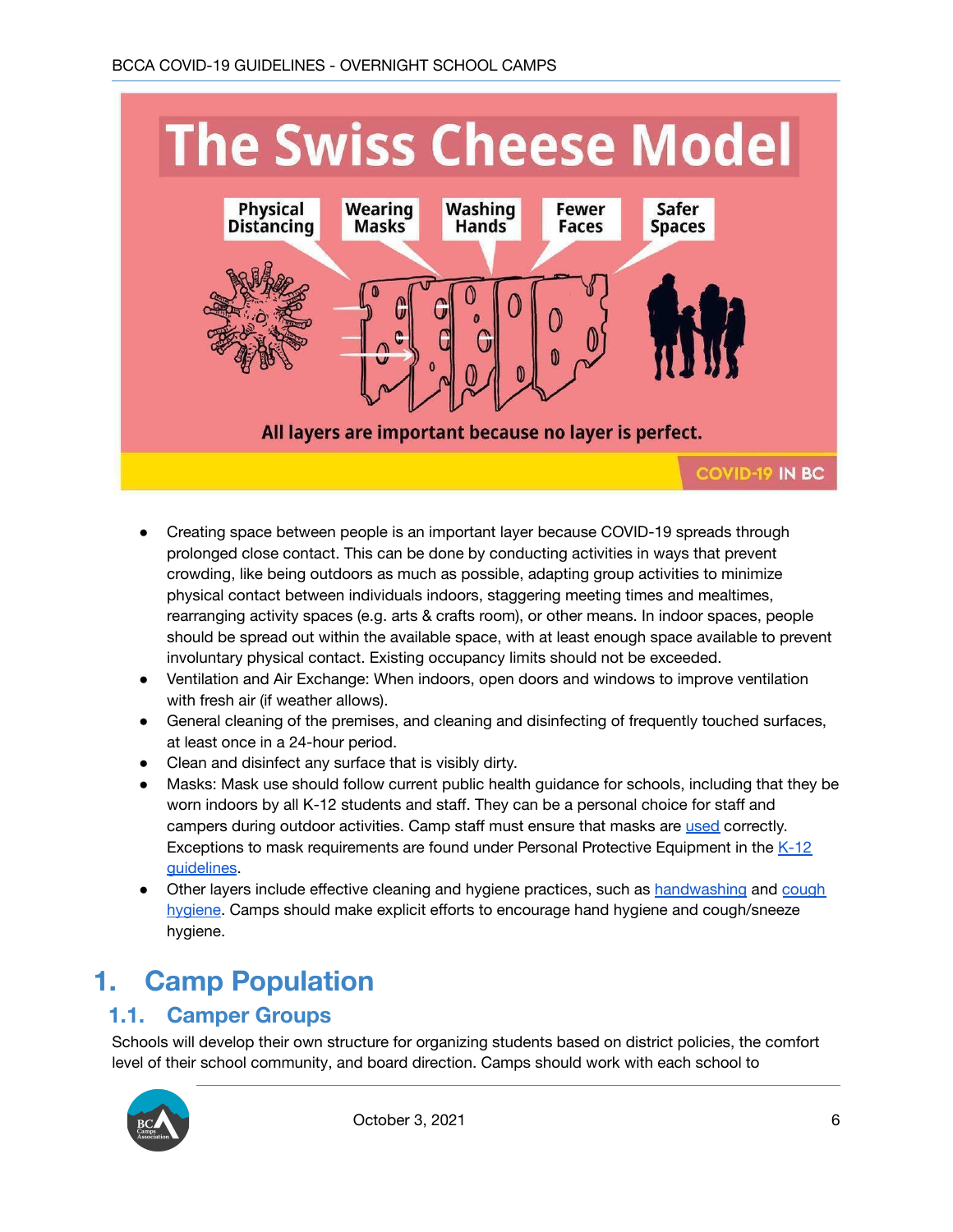

- Creating space between people is an important layer because COVID-19 spreads through prolonged close contact. This can be done by conducting activities in ways that prevent crowding, like being outdoors as much as possible, adapting group activities to minimize physical contact between individuals indoors, staggering meeting times and mealtimes, rearranging activity spaces (e.g. arts & crafts room), or other means. In indoor spaces, people should be spread out within the available space, with at least enough space available to prevent involuntary physical contact. Existing occupancy limits should not be exceeded.
- Ventilation and Air Exchange: When indoors, open doors and windows to improve ventilation with fresh air (if weather allows).
- General cleaning of the premises, and cleaning and disinfecting of frequently touched surfaces, at least once in a 24-hour period.
- Clean and disinfect any surface that is visibly dirty.
- Masks: Mask use should follow current public health guidance for schools, including that they be worn indoors by all K-12 students and staff. They can be a personal choice for staff and campers during outdoor activities. Camp staff must ensure that masks are [used](https://www.worksafebc.com/en/resources/health-safety/posters/help-prevent-spread-covid-19-how-to-use-mask?lang=en) correctly. Exceptions to mask requirements are found under Personal Protective Equipment in the  $K-12$ [guidelines](http://www.bccdc.ca/Health-Info-Site/Documents/COVID_public_guidance/Guidance-k-12-schools.pdf).
- Other layers include effective cleaning and hygiene practices, such as [handwashing](https://www.worksafebc.com/en/resources/health-safety/posters/help-prevent-spread-covid-19-handwashing?lang=en) and [cough](https://www.worksafebc.com/en/resources/health-safety/posters/help-prevent-spread-covid-19-cover-coughs-sneezes?lang=en) [hygiene](https://www.worksafebc.com/en/resources/health-safety/posters/help-prevent-spread-covid-19-cover-coughs-sneezes?lang=en). Camps should make explicit efforts to encourage hand hygiene and cough/sneeze hygiene.

# <span id="page-6-0"></span>**1. Camp Population**

#### <span id="page-6-1"></span>**1.1. Camper Groups**

Schools will develop their own structure for organizing students based on district policies, the comfort level of their school community, and board direction. Camps should work with each school to

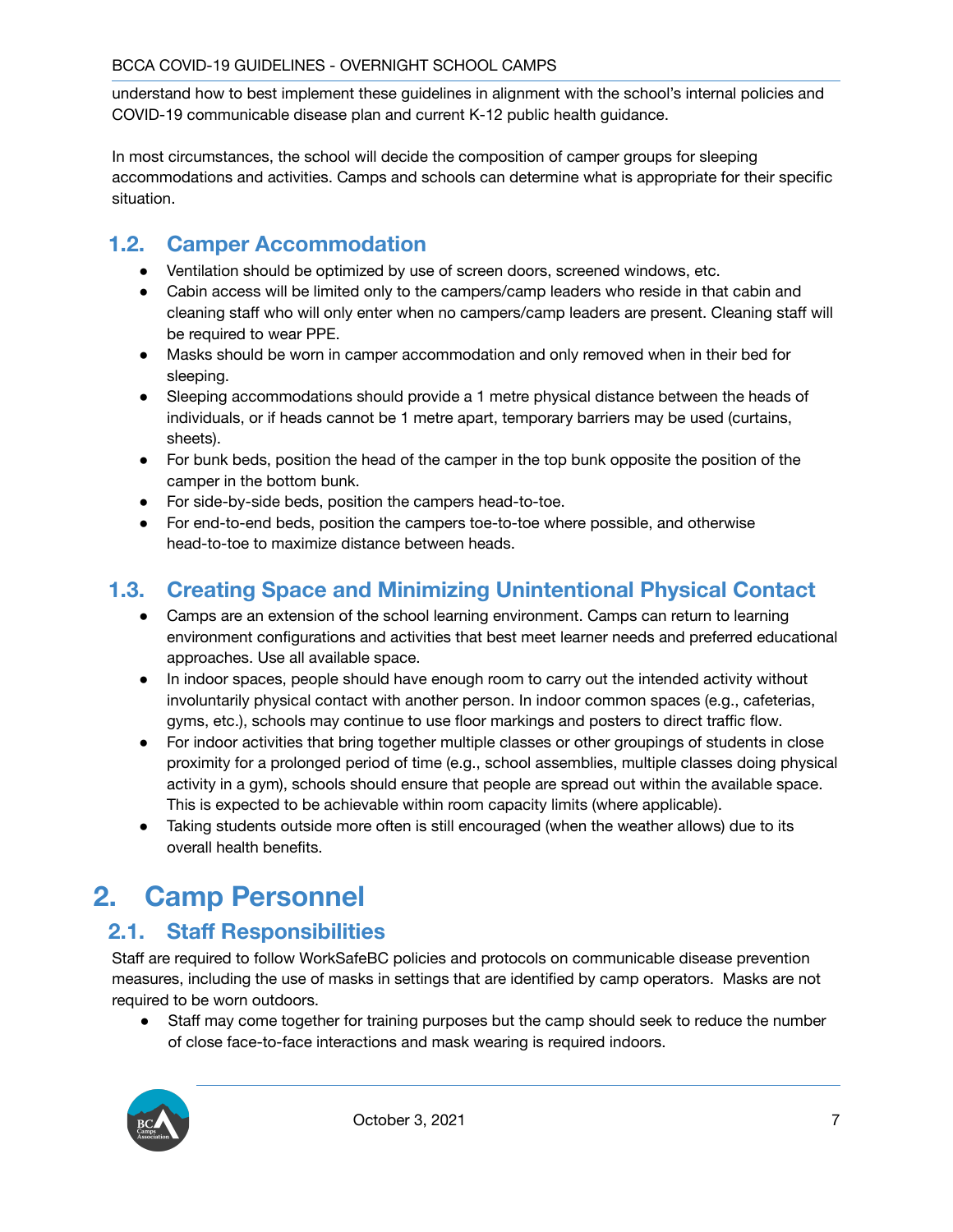understand how to best implement these guidelines in alignment with the school's internal policies and COVID-19 communicable disease plan and current K-12 public health guidance.

In most circumstances, the school will decide the composition of camper groups for sleeping accommodations and activities. Camps and schools can determine what is appropriate for their specific situation.

## <span id="page-7-0"></span>**1.2. Camper Accommodation**

- Ventilation should be optimized by use of screen doors, screened windows, etc.
- Cabin access will be limited only to the campers/camp leaders who reside in that cabin and cleaning staff who will only enter when no campers/camp leaders are present. Cleaning staff will be required to wear PPE.
- Masks should be worn in camper accommodation and only removed when in their bed for sleeping.
- Sleeping accommodations should provide a 1 metre physical distance between the heads of individuals, or if heads cannot be 1 metre apart, temporary barriers may be used (curtains, sheets).
- For bunk beds, position the head of the camper in the top bunk opposite the position of the camper in the bottom bunk.
- For side-by-side beds, position the campers head-to-toe.
- For end-to-end beds, position the campers toe-to-toe where possible, and otherwise head-to-toe to maximize distance between heads.

## <span id="page-7-1"></span>**1.3. Creating Space and Minimizing Unintentional Physical Contact**

- Camps are an extension of the school learning environment. Camps can return to learning environment configurations and activities that best meet learner needs and preferred educational approaches. Use all available space.
- In indoor spaces, people should have enough room to carry out the intended activity without involuntarily physical contact with another person. In indoor common spaces (e.g., cafeterias, gyms, etc.), schools may continue to use floor markings and posters to direct traffic flow.
- For indoor activities that bring together multiple classes or other groupings of students in close proximity for a prolonged period of time (e.g., school assemblies, multiple classes doing physical activity in a gym), schools should ensure that people are spread out within the available space. This is expected to be achievable within room capacity limits (where applicable).
- Taking students outside more often is still encouraged (when the weather allows) due to its overall health benefits.

# <span id="page-7-2"></span>**2. Camp Personnel**

#### <span id="page-7-3"></span>**2.1. Staff Responsibilities**

Staff are required to follow WorkSafeBC policies and protocols on communicable disease prevention measures, including the use of masks in settings that are identified by camp operators. Masks are not required to be worn outdoors.

• Staff may come together for training purposes but the camp should seek to reduce the number of close face-to-face interactions and mask wearing is required indoors.

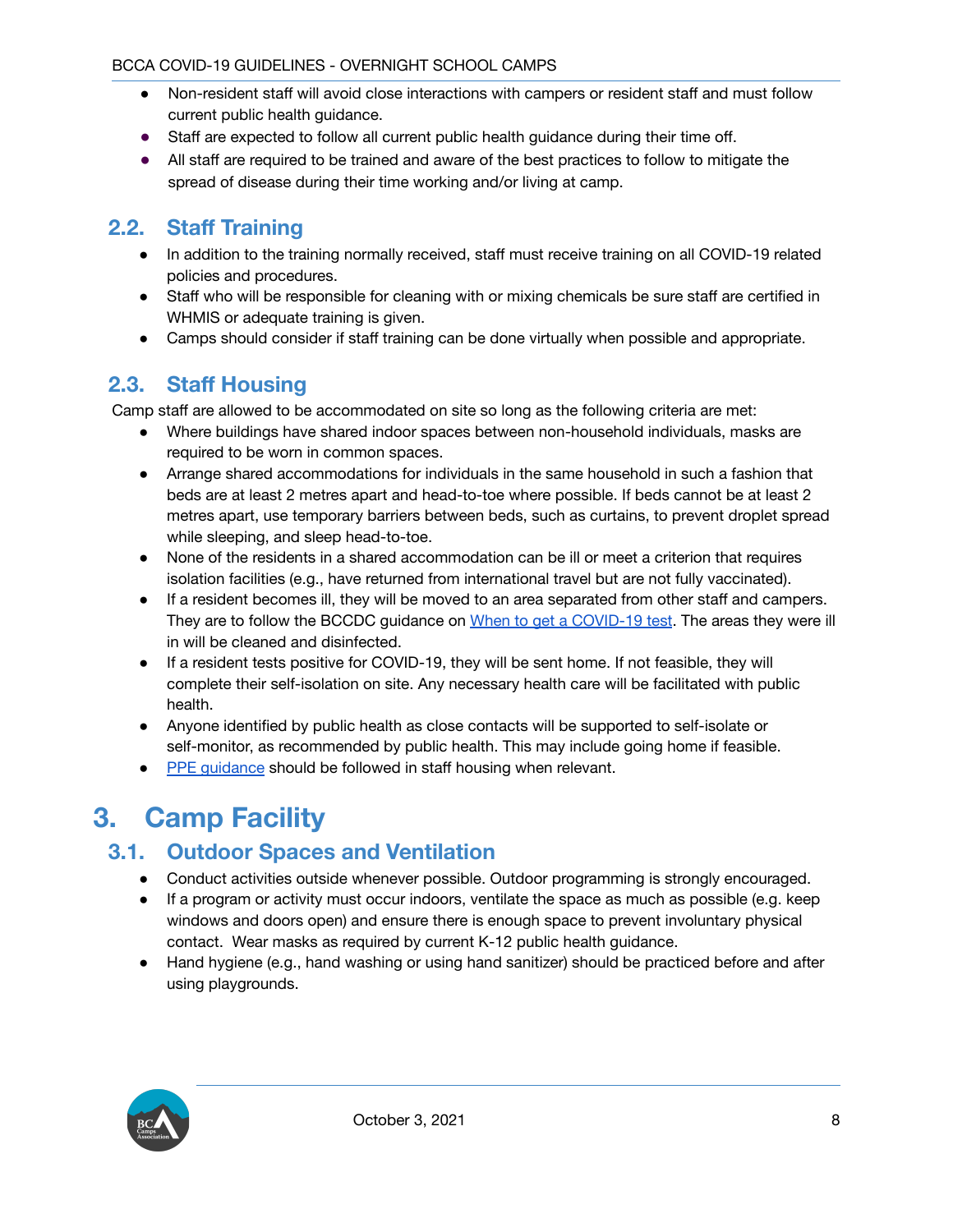- Non-resident staff will avoid close interactions with campers or resident staff and must follow current public health guidance.
- Staff are expected to follow all current public health guidance during their time off.
- All staff are required to be trained and aware of the best practices to follow to mitigate the spread of disease during their time working and/or living at camp.

#### <span id="page-8-0"></span>**2.2. Staff Training**

- In addition to the training normally received, staff must receive training on all COVID-19 related policies and procedures.
- Staff who will be responsible for cleaning with or mixing chemicals be sure staff are certified in WHMIS or adequate training is given.
- Camps should consider if staff training can be done virtually when possible and appropriate.

#### <span id="page-8-1"></span>**2.3. Staff Housing**

Camp staff are allowed to be accommodated on site so long as the following criteria are met:

- Where buildings have shared indoor spaces between non-household individuals, masks are required to be worn in common spaces.
- Arrange shared accommodations for individuals in the same household in such a fashion that beds are at least 2 metres apart and head-to-toe where possible. If beds cannot be at least 2 metres apart, use temporary barriers between beds, such as curtains, to prevent droplet spread while sleeping, and sleep head-to-toe.
- None of the residents in a shared accommodation can be ill or meet a criterion that requires isolation facilities (e.g., have returned from international travel but are not fully vaccinated).
- If a resident becomes ill, they will be moved to an area separated from other staff and campers. They are to follow the BCCDC guidance on When to get a [COVID-19](http://www.bccdc.ca/health-info/diseases-conditions/covid-19/testing/when-to-get-a-covid-19-test) test. The areas they were ill in will be cleaned and disinfected.
- If a resident tests positive for COVID-19, they will be sent home. If not feasible, they will complete their self-isolation on site. Any necessary health care will be facilitated with public health.
- Anyone identified by public health as close contacts will be supported to self-isolate or self-monitor, as recommended by public health. This may include going home if feasible.
- PPE [guidance](#page-16-0) should be followed in staff housing when relevant.

# <span id="page-8-2"></span>**3. Camp Facility**

#### <span id="page-8-3"></span>**3.1. Outdoor Spaces and Ventilation**

- Conduct activities outside whenever possible. Outdoor programming is strongly encouraged.
- If a program or activity must occur indoors, ventilate the space as much as possible (e.g. keep windows and doors open) and ensure there is enough space to prevent involuntary physical contact. Wear masks as required by current K-12 public health guidance.
- Hand hygiene (e.g., hand washing or using hand sanitizer) should be practiced before and after using playgrounds.

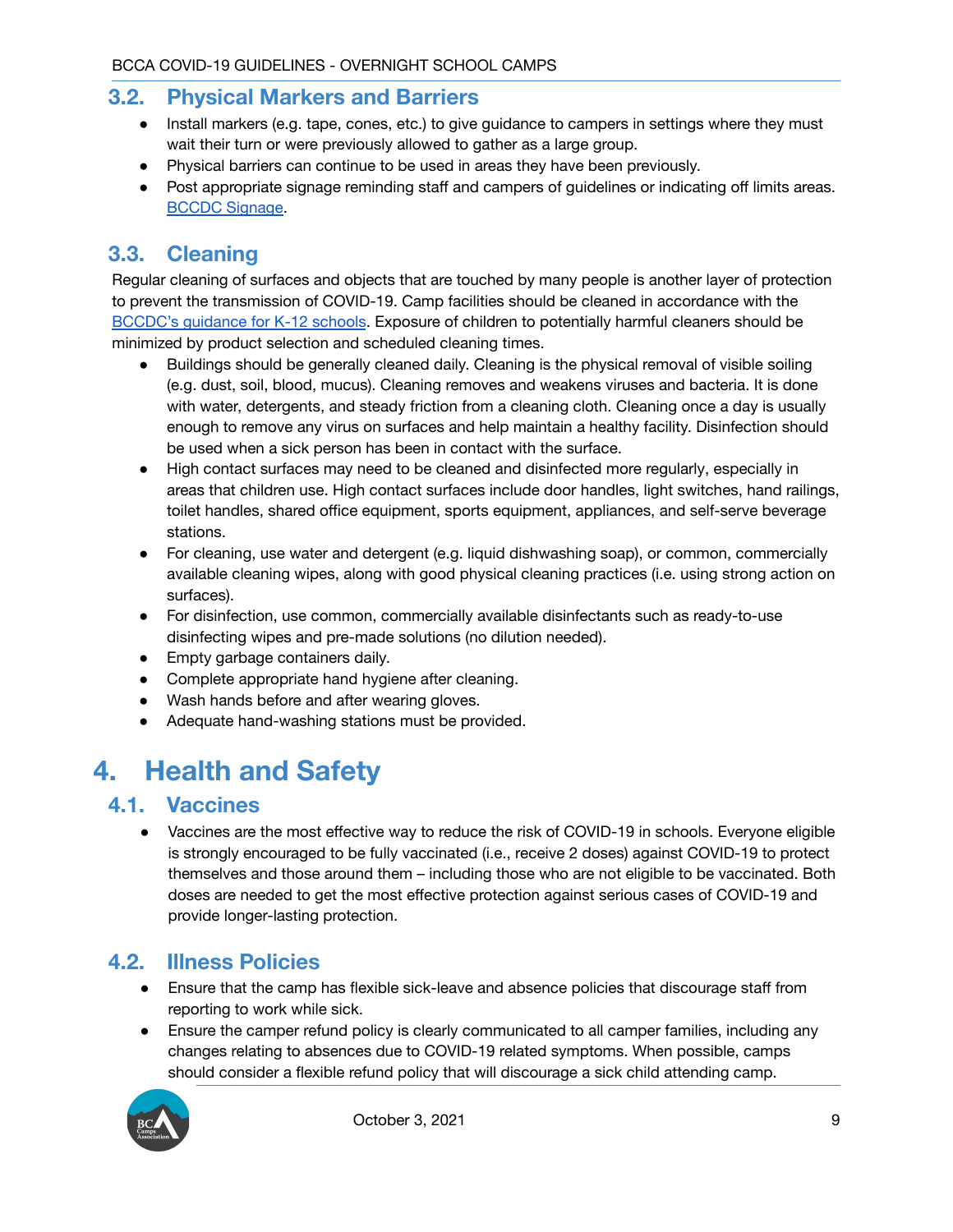#### <span id="page-9-0"></span>**3.2. Physical Markers and Barriers**

- Install markers (e.g. tape, cones, etc.) to give guidance to campers in settings where they must wait their turn or were previously allowed to gather as a large group.
- Physical barriers can continue to be used in areas they have been previously.
- Post appropriate signage reminding staff and campers of guidelines or indicating off limits areas. BCCDC [Signage](http://www.bccdc.ca/health-professionals/clinical-resources/covid-19-care/signage-posters).

#### <span id="page-9-1"></span>**3.3. Cleaning**

Regular cleaning of surfaces and objects that are touched by many people is another layer of protection to prevent the transmission of COVID-19. Camp facilities should be cleaned in accordance with the [BCCDC's](http://www.bccdc.ca/Health-Info-Site/Documents/COVID_public_guidance/Guidance-k-12-schools.pdf) guidance for K-12 schools. Exposure of children to potentially harmful cleaners should be minimized by product selection and scheduled cleaning times.

- Buildings should be generally cleaned daily. Cleaning is the physical removal of visible soiling (e.g. dust, soil, blood, mucus). Cleaning removes and weakens viruses and bacteria. It is done with water, detergents, and steady friction from a cleaning cloth. Cleaning once a day is usually enough to remove any virus on surfaces and help maintain a healthy facility. Disinfection should be used when a sick person has been in contact with the surface.
- High contact surfaces may need to be cleaned and disinfected more regularly, especially in areas that children use. High contact surfaces include door handles, light switches, hand railings, toilet handles, shared office equipment, sports equipment, appliances, and self-serve beverage stations.
- For cleaning, use water and detergent (e.g. liquid dishwashing soap), or common, commercially available cleaning wipes, along with good physical cleaning practices (i.e. using strong action on surfaces).
- For disinfection, use common, commercially available disinfectants such as ready-to-use disinfecting wipes and pre-made solutions (no dilution needed).
- Empty garbage containers daily.
- Complete appropriate hand hygiene after cleaning.
- Wash hands before and after wearing gloves.
- Adequate hand-washing stations must be provided.

# <span id="page-9-2"></span>**4. Health and Safety**

#### <span id="page-9-3"></span>**4.1. Vaccines**

● Vaccines are the most effective way to reduce the risk of COVID-19 in schools. Everyone eligible is strongly encouraged to be fully vaccinated (i.e., receive 2 doses) against COVID-19 to protect themselves and those around them – including those who are not eligible to be vaccinated. Both doses are needed to get the most effective protection against serious cases of COVID-19 and provide longer-lasting protection.

#### <span id="page-9-4"></span>**4.2. Illness Policies**

- Ensure that the camp has flexible sick-leave and absence policies that discourage staff from reporting to work while sick.
- Ensure the camper refund policy is clearly communicated to all camper families, including any changes relating to absences due to COVID-19 related symptoms. When possible, camps should consider a flexible refund policy that will discourage a sick child attending camp.

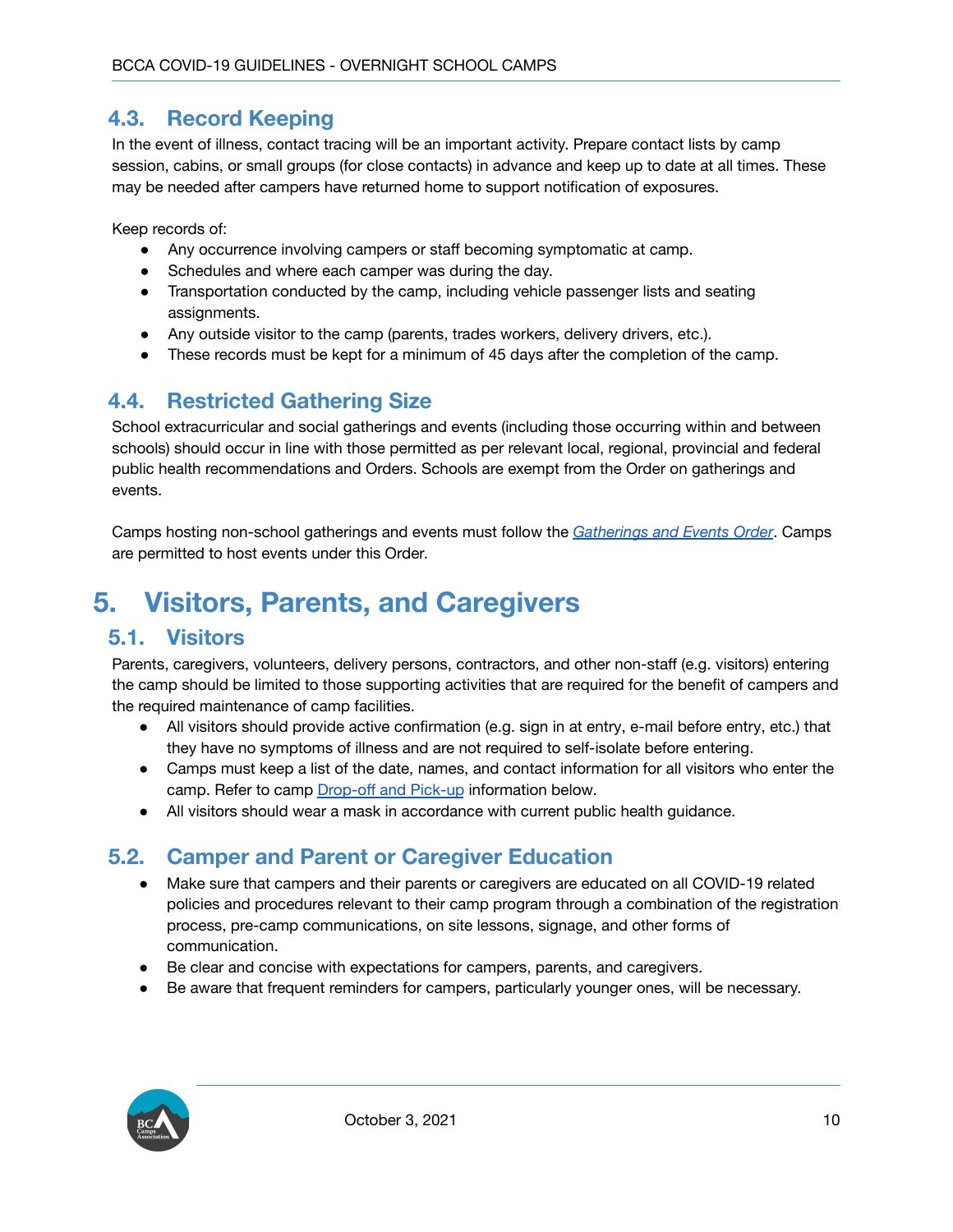#### <span id="page-10-0"></span>**4.3. Record Keeping**

In the event of illness, contact tracing will be an important activity. Prepare contact lists by camp session, cabins, or small groups (for close contacts) in advance and keep up to date at all times. These may be needed after campers have returned home to support notification of exposures.

Keep records of:

- Any occurrence involving campers or staff becoming symptomatic at camp.
- Schedules and where each camper was during the day.
- Transportation conducted by the camp, including vehicle passenger lists and seating assignments.
- Any outside visitor to the camp (parents, trades workers, delivery drivers, etc.).
- These records must be kept for a minimum of 45 days after the completion of the camp.

## <span id="page-10-1"></span>**4.4. Restricted Gathering Size**

School extracurricular and social gatherings and events (including those occurring within and between schools) should occur in line with those permitted as per relevant local, regional, provincial and federal public health recommendations and Orders. Schools are exempt from the Order on gatherings and events.

Camps hosting non-school gatherings and events must follow the *[Gatherings](https://www2.gov.bc.ca/assets/gov/health/about-bc-s-health-care-system/office-of-the-provincial-health-officer/covid-19/covid-19-pho-order-gatherings-events.pdf) and Events Order*. Camps are permitted to host events under this Order.

# <span id="page-10-2"></span>**5. Visitors, Parents, and Caregivers**

#### <span id="page-10-3"></span>**5.1. Visitors**

Parents, caregivers, volunteers, delivery persons, contractors, and other non-staff (e.g. visitors) entering the camp should be limited to those supporting activities that are required for the benefit of campers and the required maintenance of camp facilities.

- All visitors should provide active confirmation (e.g. sign in at entry, e-mail before entry, etc.) that they have no symptoms of illness and are not required to self-isolate before entering.
- Camps must keep a list of the date, names, and contact information for all visitors who enter the camp. Refer to camp [Drop-off](#page-11-0) and Pick-up information below.
- All visitors should wear a mask in accordance with current public health guidance.

#### <span id="page-10-4"></span>**5.2. Camper and Parent or Caregiver Education**

- Make sure that campers and their parents or caregivers are educated on all COVID-19 related policies and procedures relevant to their camp program through a combination of the registration process, pre-camp communications, on site lessons, signage, and other forms of communication.
- Be clear and concise with expectations for campers, parents, and caregivers.
- Be aware that frequent reminders for campers, particularly younger ones, will be necessary.

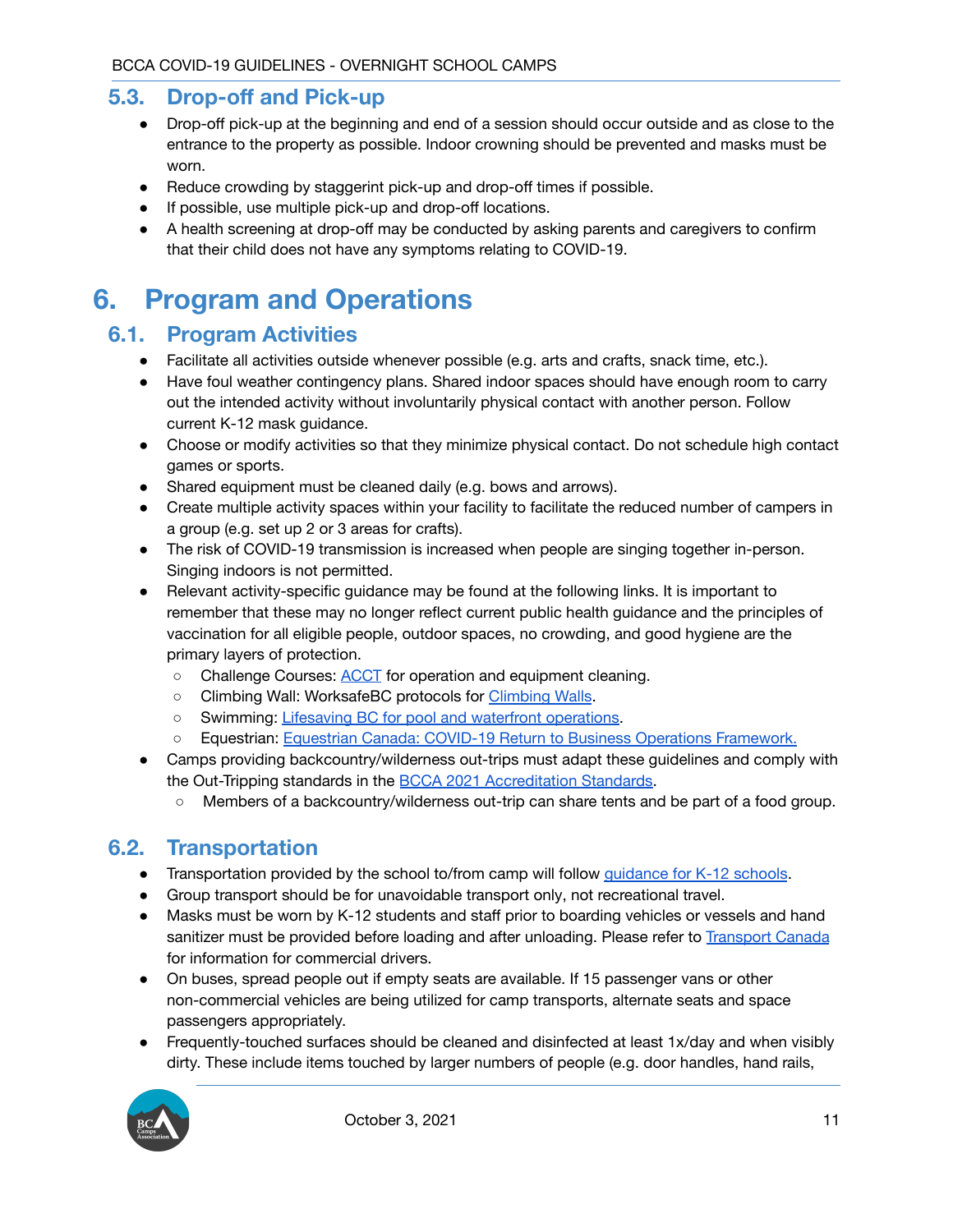#### <span id="page-11-0"></span>**5.3. Drop-off and Pick-up**

- Drop-off pick-up at the beginning and end of a session should occur outside and as close to the entrance to the property as possible. Indoor crowning should be prevented and masks must be worn.
- Reduce crowding by staggerint pick-up and drop-off times if possible.
- If possible, use multiple pick-up and drop-off locations.
- A health screening at drop-off may be conducted by asking parents and caregivers to confirm that their child does not have any symptoms relating to COVID-19.

## <span id="page-11-1"></span>**6. Program and Operations**

#### <span id="page-11-2"></span>**6.1. Program Activities**

- Facilitate all activities outside whenever possible (e.g. arts and crafts, snack time, etc.).
- Have foul weather contingency plans. Shared indoor spaces should have enough room to carry out the intended activity without involuntarily physical contact with another person. Follow current K-12 mask guidance.
- Choose or modify activities so that they minimize physical contact. Do not schedule high contact games or sports.
- Shared equipment must be cleaned daily (e.g. bows and arrows).
- Create multiple activity spaces within your facility to facilitate the reduced number of campers in a group (e.g. set up 2 or 3 areas for crafts).
- The risk of COVID-19 transmission is increased when people are singing together in-person. Singing indoors is not permitted.
- Relevant activity-specific guidance may be found at the following links. It is important to remember that these may no longer reflect current public health guidance and the principles of vaccination for all eligible people, outdoor spaces, no crowding, and good hygiene are the primary layers of protection.
	- Challenge Courses: **[ACCT](https://cdn.ymaws.com/www.acctinfo.org/resource/resmgr/files/2020-05-14_camp_courses_guid.pdf)** for operation and equipment cleaning.
	- Climbing Wall: WorksafeBC protocols for [Climbing](https://www.worksafebc.com/en/about-us/covid-19-updates/covid-19-returning-safe-operation/gyms-and-fitness-centres) Walls.
	- Swimming: Lifesaving BC for pool and waterfront [operations](https://www.lifesaving.bc.ca/Areas/Admin/Content/images/DashboardFilePdfUpload/DashboardFilePdf/Dashboard_8878903_Guidelines_for_Reopening_BC).
	- Equestrian: Equestrian Canada: COVID-19 Return to Business Operations [Framework.](https://www.equestrian.ca/cdn/storage/resources_v2/cRSrWCZPbutzEN8Qg/original/cRSrWCZPbutzEN8Qg.pdf)
- Camps providing backcountry/wilderness out-trips must adapt these guidelines and comply with the Out-Tripping standards in the BCCA 2021 [Accreditation](http://bccamping.org/resources/Documents/BCCA%202021%20Accreditation%20Standards.pdf) Standards.
	- Members of a backcountry/wilderness out-trip can share tents and be part of a food group.

#### <span id="page-11-3"></span>**6.2. Transportation**

- Transportation provided by the school to/from camp will follow [guidance](http://www.bccdc.ca/Health-Info-Site/Documents/COVID_public_guidance/Guidance-k-12-schools.pdf) for K-12 schools.
- Group transport should be for unavoidable transport only, not recreational travel.
- Masks must be worn by K-12 students and staff prior to boarding vehicles or vessels and hand sanitizer must be provided before loading and after unloading. Please refer to [Transport](https://tc.canada.ca/en/initiatives/covid-19-measures-updates-guidance-issued-transport-canada/federal-safety-guidance-protect-drivers-limit-spread-covid-19-commercial-vehicle-operations) Canada for information for commercial drivers.
- On buses, spread people out if empty seats are available. If 15 passenger vans or other non-commercial vehicles are being utilized for camp transports, alternate seats and space passengers appropriately.
- Frequently-touched surfaces should be cleaned and disinfected at least 1x/day and when visibly dirty. These include items touched by larger numbers of people (e.g. door handles, hand rails,

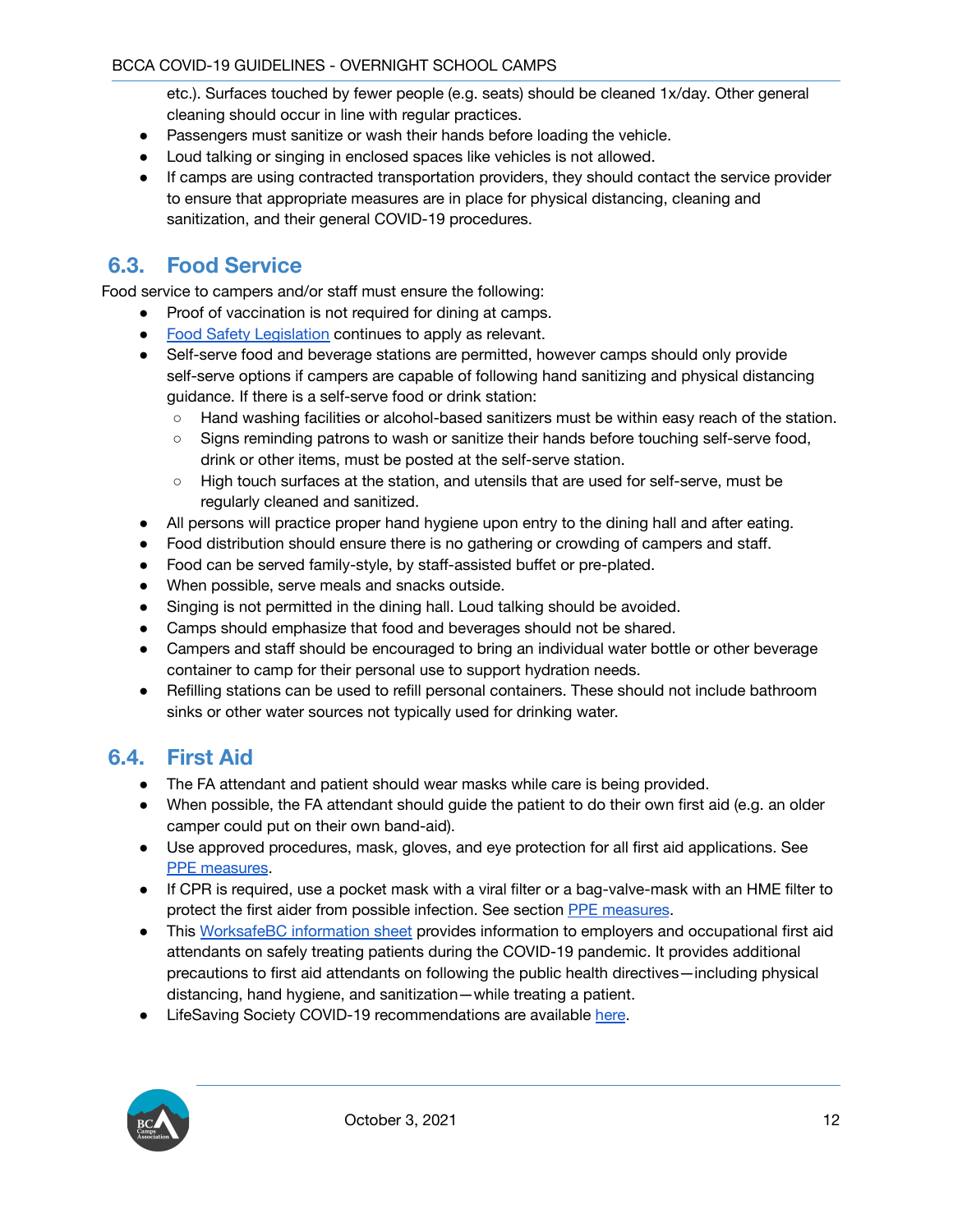etc.). Surfaces touched by fewer people (e.g. seats) should be cleaned 1x/day. Other general cleaning should occur in line with regular practices.

- Passengers must sanitize or wash their hands before loading the vehicle.
- Loud talking or singing in enclosed spaces like vehicles is not allowed.
- If camps are using contracted transportation providers, they should contact the service provider to ensure that appropriate measures are in place for physical distancing, cleaning and sanitization, and their general COVID-19 procedures.

### <span id="page-12-0"></span>**6.3. Food Service**

Food service to campers and/or staff must ensure the following:

- Proof of vaccination is not required for dining at camps.
- Food Safety [Legislation](https://www2.gov.bc.ca/gov/content/health/keeping-bc-healthy-safe/food-safety/food-safety-legislation) continues to apply as relevant.
- Self-serve food and beverage stations are permitted, however camps should only provide self-serve options if campers are capable of following hand sanitizing and physical distancing guidance. If there is a self-serve food or drink station:
	- Hand washing facilities or alcohol-based sanitizers must be within easy reach of the station.
	- Signs reminding patrons to wash or sanitize their hands before touching self-serve food, drink or other items, must be posted at the self-serve station.
	- High touch surfaces at the station, and utensils that are used for self-serve, must be regularly cleaned and sanitized.
- All persons will practice proper hand hygiene upon entry to the dining hall and after eating.
- Food distribution should ensure there is no gathering or crowding of campers and staff.
- Food can be served family-style, by staff-assisted buffet or pre-plated.
- When possible, serve meals and snacks outside.
- Singing is not permitted in the dining hall. Loud talking should be avoided.
- Camps should emphasize that food and beverages should not be shared.
- Campers and staff should be encouraged to bring an individual water bottle or other beverage container to camp for their personal use to support hydration needs.
- Refilling stations can be used to refill personal containers. These should not include bathroom sinks or other water sources not typically used for drinking water.

#### <span id="page-12-1"></span>**6.4. First Aid**

- The FA attendant and patient should wear masks while care is being provided.
- When possible, the FA attendant should guide the patient to do their own first aid (e.g. an older camper could put on their own band-aid).
- Use approved procedures, mask, gloves, and eye protection for all first aid applications. See PPE [measures](#page-16-0).
- If CPR is required, use a pocket mask with a viral filter or a bag-valve-mask with an HME filter to protect the first aider from possible infection. See section PPE [measures](#page-16-0).
- This [WorksafeBC](https://www.worksafebc.com/en/resources/health-safety/information-sheets/ofaa-protocols-covid-19-pandemic?lang=en) information sheet provides information to employers and occupational first aid attendants on safely treating patients during the COVID-19 pandemic. It provides additional precautions to first aid attendants on following the public health directives—including physical distancing, hand hygiene, and sanitization—while treating a patient.
- LifeSaving Society COVID-19 recommendations are available [here](https://www.lifesaving.bc.ca/Areas/Admin/Content/images/DashboardFilePdfUpload/DashboardFilePdf/Dashboard_8878903_Guidelines_for_Reopening_BC).

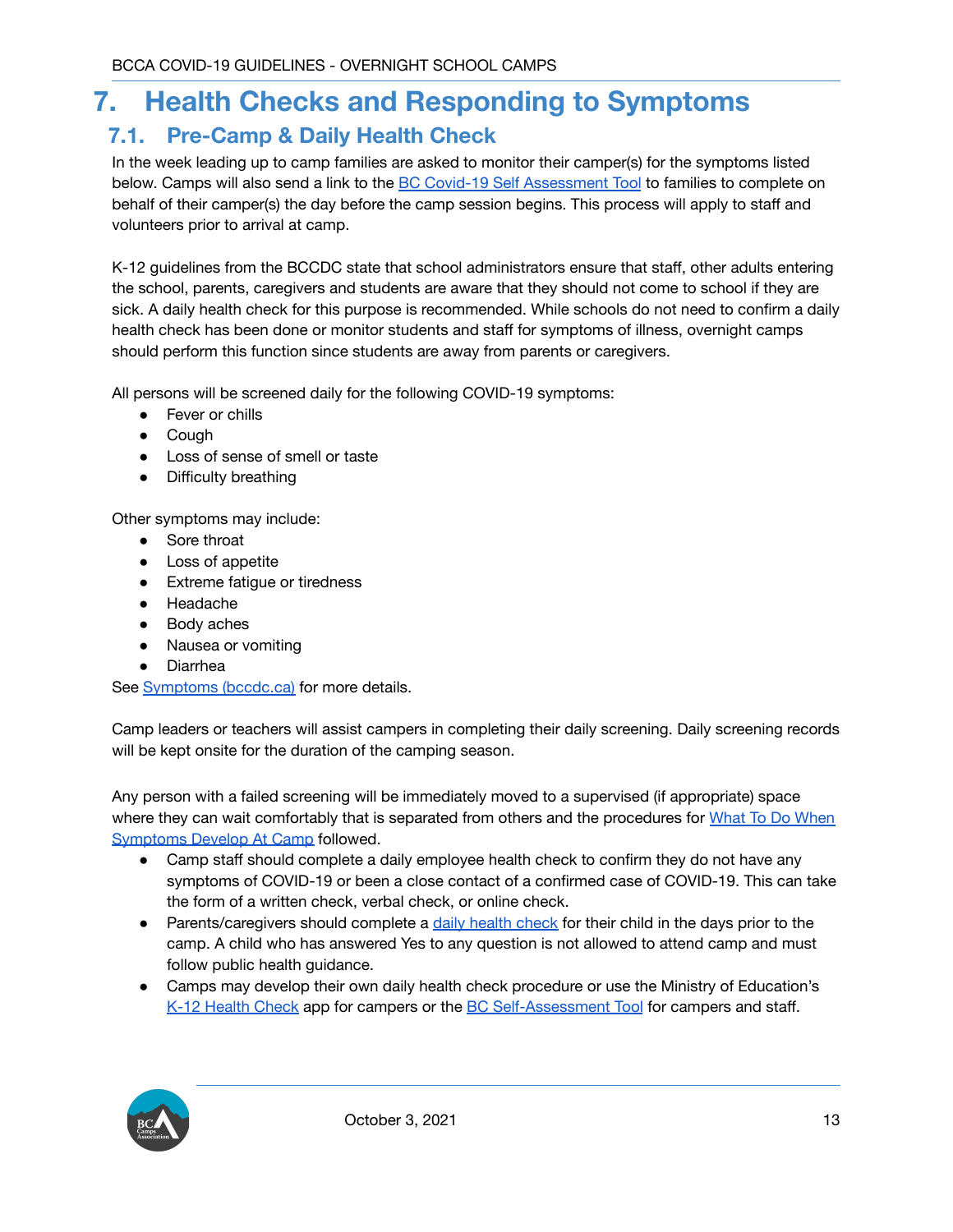## <span id="page-13-0"></span>**7. Health Checks and Responding to Symptoms**

### <span id="page-13-1"></span>**7.1. Pre-Camp & Daily Health Check**

In the week leading up to camp families are asked to monitor their camper(s) for the symptoms listed below. Camps will also send a link to the BC Covid-19 Self [Assessment](https://bc.thrive.health/covid19/en) Tool to families to complete on behalf of their camper(s) the day before the camp session begins. This process will apply to staff and volunteers prior to arrival at camp.

K-12 guidelines from the BCCDC state that school administrators ensure that staff, other adults entering the school, parents, caregivers and students are aware that they should not come to school if they are sick. A daily health check for this purpose is recommended. While schools do not need to confirm a daily health check has been done or monitor students and staff for symptoms of illness, overnight camps should perform this function since students are away from parents or caregivers.

All persons will be screened daily for the following COVID-19 symptoms:

- Fever or chills
- Cough
- Loss of sense of smell or taste
- Difficulty breathing

Other symptoms may include:

- Sore throat
- Loss of appetite
- Extreme fatigue or tiredness
- Headache
- Body aches
- Nausea or vomiting
- **Diarrhea**

See [Symptoms](http://www.bccdc.ca/health-info/diseases-conditions/covid-19/about-covid-19/symptoms) (bccdc.ca) for more details.

Camp leaders or teachers will assist campers in completing their daily screening. Daily screening records will be kept onsite for the duration of the camping season.

Any person with a failed screening will be immediately moved to a supervised (if appropriate) space where they can wait comfortably that is separated from others and the procedures for What To Do [When](#page-14-1) [Symptoms](#page-14-1) Develop At Camp followed.

- Camp staff should complete a daily employee health check to confirm they do not have any symptoms of COVID-19 or been a close contact of a confirmed case of COVID-19. This can take the form of a written check, verbal check, or online check.
- Parents/caregivers should complete a daily [health](https://bc.thrive.health/) check for their child in the days prior to the camp. A child who has answered Yes to any question is not allowed to attend camp and must follow public health guidance.
- Camps may develop their own daily health check procedure or use the Ministry of Education's K-12 [Health](https://www.k12dailycheck.gov.bc.ca/healthcheck?execution=e1s1) Check app for campers or the BC [Self-Assessment](https://bc.thrive.health/) Tool for campers and staff.

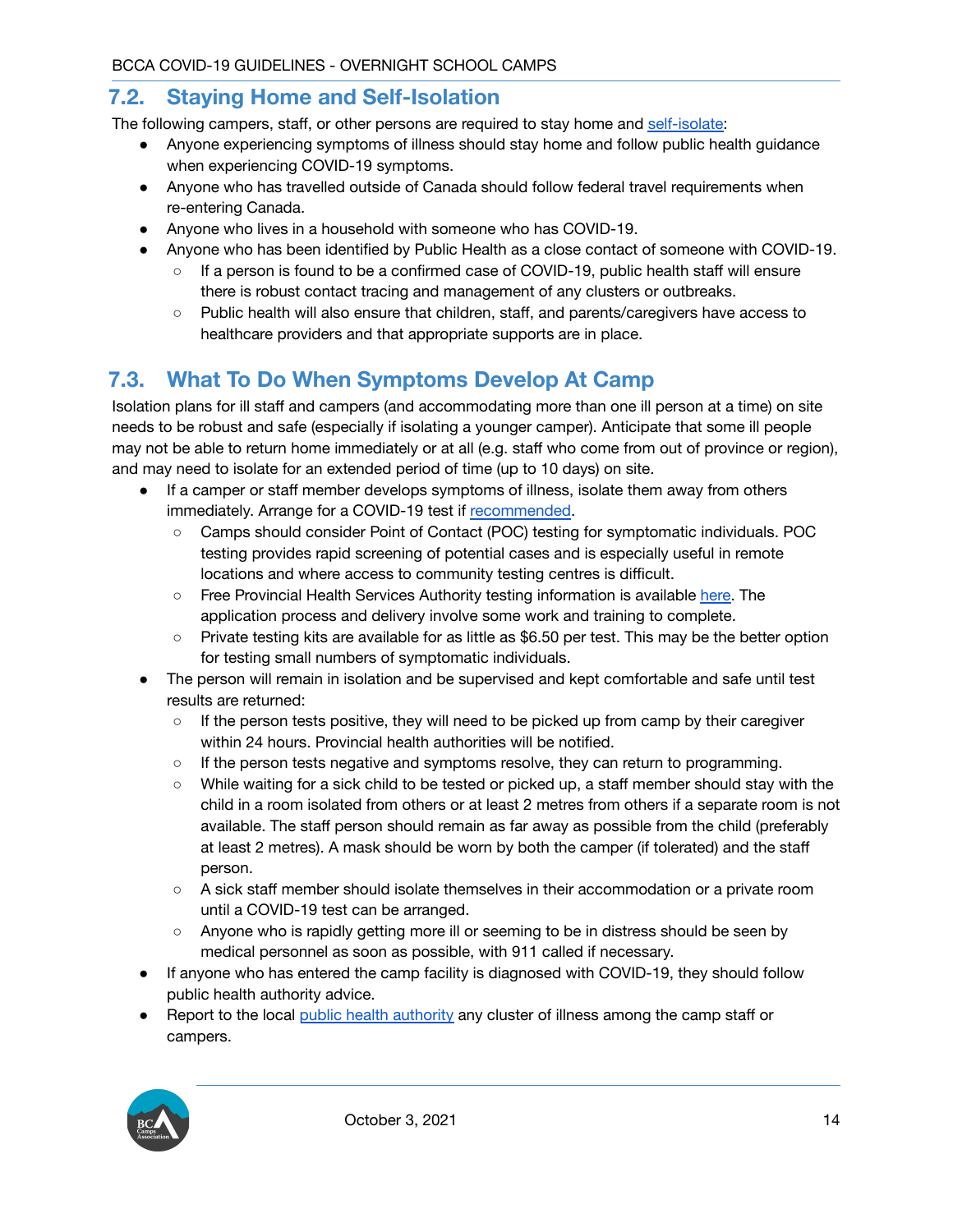#### <span id="page-14-0"></span>**7.2. Staying Home and Self-Isolation**

The following campers, staff, or other persons are required to stay home and [self-isolate:](http://www.bccdc.ca/health-info/diseases-conditions/covid-19/self-isolation)

- Anyone experiencing symptoms of illness should stay home and follow public health guidance when experiencing COVID-19 symptoms.
- Anyone who has travelled outside of Canada should follow federal travel requirements when re-entering Canada.
- Anyone who lives in a household with someone who has COVID-19.
- Anyone who has been identified by Public Health as a close contact of someone with COVID-19.
	- If a person is found to be a confirmed case of COVID-19, public health staff will ensure there is robust contact tracing and management of any clusters or outbreaks.
	- Public health will also ensure that children, staff, and parents/caregivers have access to healthcare providers and that appropriate supports are in place.

## <span id="page-14-1"></span>**7.3. What To Do When Symptoms Develop At Camp**

Isolation plans for ill staff and campers (and accommodating more than one ill person at a time) on site needs to be robust and safe (especially if isolating a younger camper). Anticipate that some ill people may not be able to return home immediately or at all (e.g. staff who come from out of province or region), and may need to isolate for an extended period of time (up to 10 days) on site.

- If a camper or staff member develops symptoms of illness, isolate them away from others immediately. Arrange for a COVID-19 test if [recommended](https://bc.thrive.health/covid19/en).
	- Camps should consider Point of Contact (POC) testing for symptomatic individuals. POC testing provides rapid screening of potential cases and is especially useful in remote locations and where access to community testing centres is difficult.
	- Free Provincial Health Services Authority testing information is available [here.](http://www.bccdc.ca/health-info/diseases-conditions/covid-19/testing/rapid-covid-19-point-of-care-screening-program) The application process and delivery involve some work and training to complete.
	- Private testing kits are available for as little as \$6.50 per test. This may be the better option for testing small numbers of symptomatic individuals.
- The person will remain in isolation and be supervised and kept comfortable and safe until test results are returned:
	- If the person tests positive, they will need to be picked up from camp by their caregiver within 24 hours. Provincial health authorities will be notified.
	- If the person tests negative and symptoms resolve, they can return to programming.
	- While waiting for a sick child to be tested or picked up, a staff member should stay with the child in a room isolated from others or at least 2 metres from others if a separate room is not available. The staff person should remain as far away as possible from the child (preferably at least 2 metres). A mask should be worn by both the camper (if tolerated) and the staff person.
	- A sick staff member should isolate themselves in their accommodation or a private room until a COVID-19 test can be arranged.
	- Anyone who is rapidly getting more ill or seeming to be in distress should be seen by medical personnel as soon as possible, with 911 called if necessary.
- If anyone who has entered the camp facility is diagnosed with COVID-19, they should follow public health authority advice.
- Report to the local public health [authority](#page-3-1) any cluster of illness among the camp staff or campers.

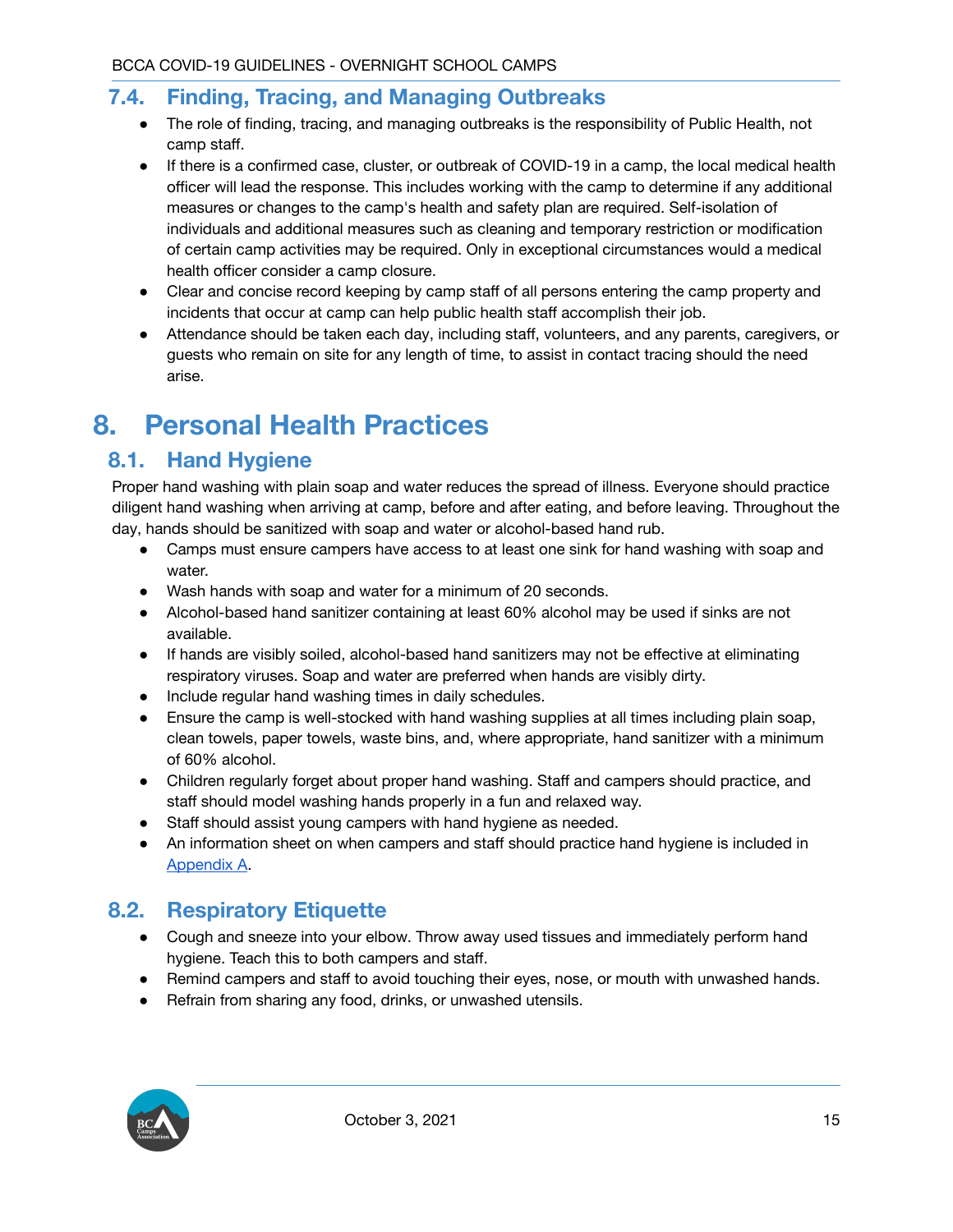#### <span id="page-15-0"></span>**7.4. Finding, Tracing, and Managing Outbreaks**

- The role of finding, tracing, and managing outbreaks is the responsibility of Public Health, not camp staff.
- If there is a confirmed case, cluster, or outbreak of COVID-19 in a camp, the local medical health officer will lead the response. This includes working with the camp to determine if any additional measures or changes to the camp's health and safety plan are required. Self-isolation of individuals and additional measures such as cleaning and temporary restriction or modification of certain camp activities may be required. Only in exceptional circumstances would a medical health officer consider a camp closure.
- Clear and concise record keeping by camp staff of all persons entering the camp property and incidents that occur at camp can help public health staff accomplish their job.
- Attendance should be taken each day, including staff, volunteers, and any parents, caregivers, or guests who remain on site for any length of time, to assist in contact tracing should the need arise.

# <span id="page-15-1"></span>**8. Personal Health Practices**

## <span id="page-15-2"></span>**8.1. Hand Hygiene**

Proper hand washing with plain soap and water reduces the spread of illness. Everyone should practice diligent hand washing when arriving at camp, before and after eating, and before leaving. Throughout the day, hands should be sanitized with soap and water or alcohol-based hand rub.

- Camps must ensure campers have access to at least one sink for hand washing with soap and water.
- Wash hands with soap and water for a minimum of 20 seconds.
- Alcohol-based hand sanitizer containing at least 60% alcohol may be used if sinks are not available.
- If hands are visibly soiled, alcohol-based hand sanitizers may not be effective at eliminating respiratory viruses. Soap and water are preferred when hands are visibly dirty.
- Include regular hand washing times in daily schedules.
- Ensure the camp is well-stocked with hand washing supplies at all times including plain soap, clean towels, paper towels, waste bins, and, where appropriate, hand sanitizer with a minimum of 60% alcohol.
- Children regularly forget about proper hand washing. Staff and campers should practice, and staff should model washing hands properly in a fun and relaxed way.
- Staff should assist young campers with hand hygiene as needed.
- An information sheet on when campers and staff should practice hand hygiene is included in [Appendix](#page-18-0) A.

#### <span id="page-15-3"></span>**8.2. Respiratory Etiquette**

- Cough and sneeze into your elbow. Throw away used tissues and immediately perform hand hygiene. Teach this to both campers and staff.
- Remind campers and staff to avoid touching their eyes, nose, or mouth with unwashed hands.
- Refrain from sharing any food, drinks, or unwashed utensils.

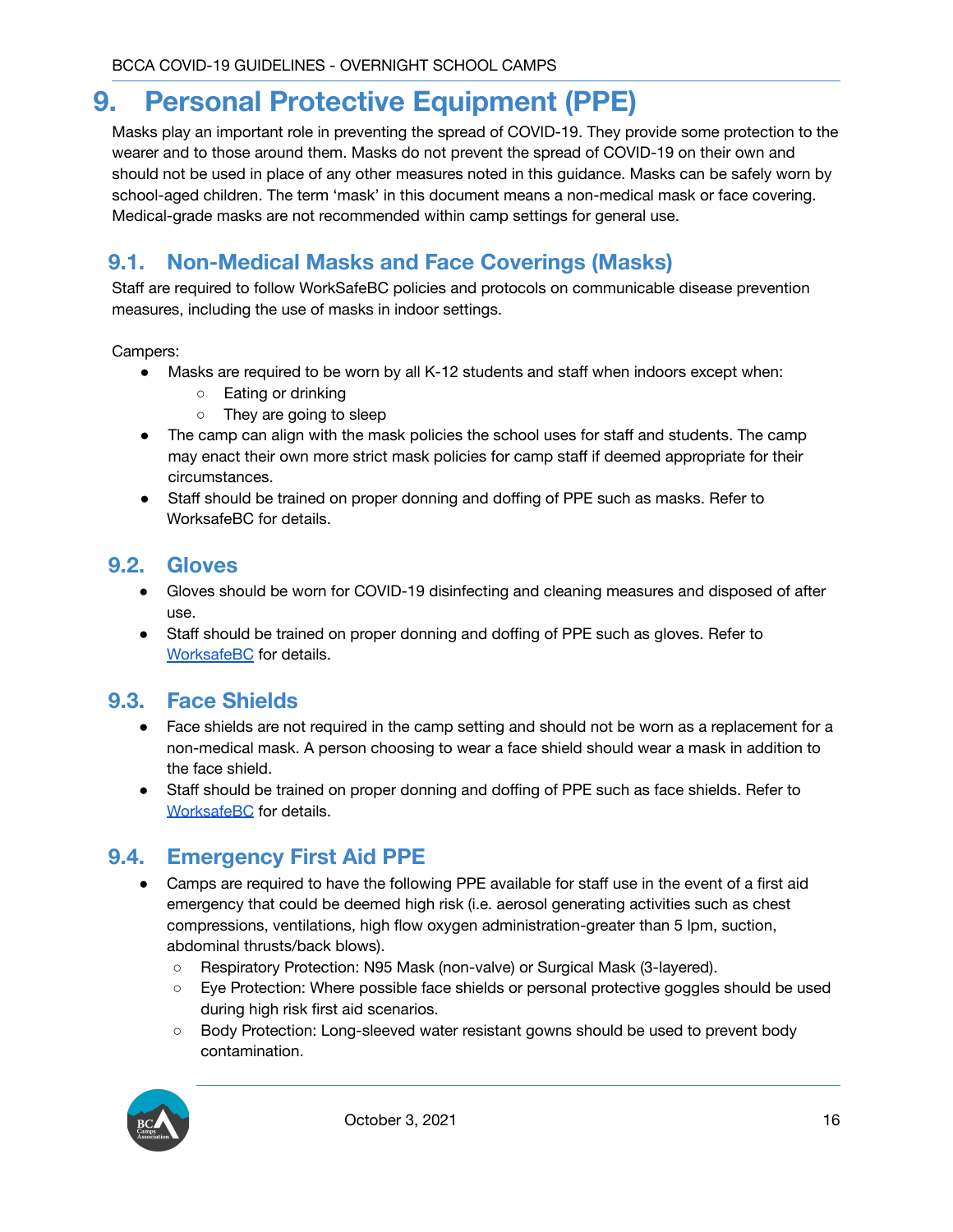## <span id="page-16-0"></span>**9. Personal Protective Equipment (PPE)**

Masks play an important role in preventing the spread of COVID-19. They provide some protection to the wearer and to those around them. Masks do not prevent the spread of COVID-19 on their own and should not be used in place of any other measures noted in this guidance. Masks can be safely worn by school-aged children. The term 'mask' in this document means a non-medical mask or face covering. Medical-grade masks are not recommended within camp settings for general use.

## <span id="page-16-1"></span>**9.1. Non-Medical Masks and Face Coverings (Masks)**

Staff are required to follow WorkSafeBC policies and protocols on communicable disease prevention measures, including the use of masks in indoor settings.

Campers:

- Masks are required to be worn by all K-12 students and staff when indoors except when:
	- Eating or drinking
	- They are going to sleep
- The camp can align with the mask policies the school uses for staff and students. The camp may enact their own more strict mask policies for camp staff if deemed appropriate for their circumstances.
- Staff should be trained on proper donning and doffing of PPE such as masks. Refer to WorksafeBC for details.

#### <span id="page-16-2"></span>**9.2. Gloves**

- Gloves should be worn for COVID-19 disinfecting and cleaning measures and disposed of after use.
- Staff should be trained on proper donning and doffing of PPE such as gloves. Refer to [WorksafeBC](http://www.bccdc.ca/health-professionals/clinical-resources/covid-19-care/infection-control/personal-protective-equipment) for details.

#### <span id="page-16-3"></span>**9.3. Face Shields**

- Face shields are not required in the camp setting and should not be worn as a replacement for a non-medical mask. A person choosing to wear a face shield should wear a mask in addition to the face shield.
- Staff should be trained on proper donning and doffing of PPE such as face shields. Refer to [WorksafeBC](http://www.bccdc.ca/health-professionals/clinical-resources/covid-19-care/infection-control/personal-protective-equipment) for details.

#### <span id="page-16-4"></span>**9.4. Emergency First Aid PPE**

- Camps are required to have the following PPE available for staff use in the event of a first aid emergency that could be deemed high risk (i.e. aerosol generating activities such as chest compressions, ventilations, high flow oxygen administration-greater than 5 lpm, suction, abdominal thrusts/back blows).
	- Respiratory Protection: N95 Mask (non-valve) or Surgical Mask (3-layered).
	- Eye Protection: Where possible face shields or personal protective goggles should be used during high risk first aid scenarios.
	- Body Protection: Long-sleeved water resistant gowns should be used to prevent body contamination.

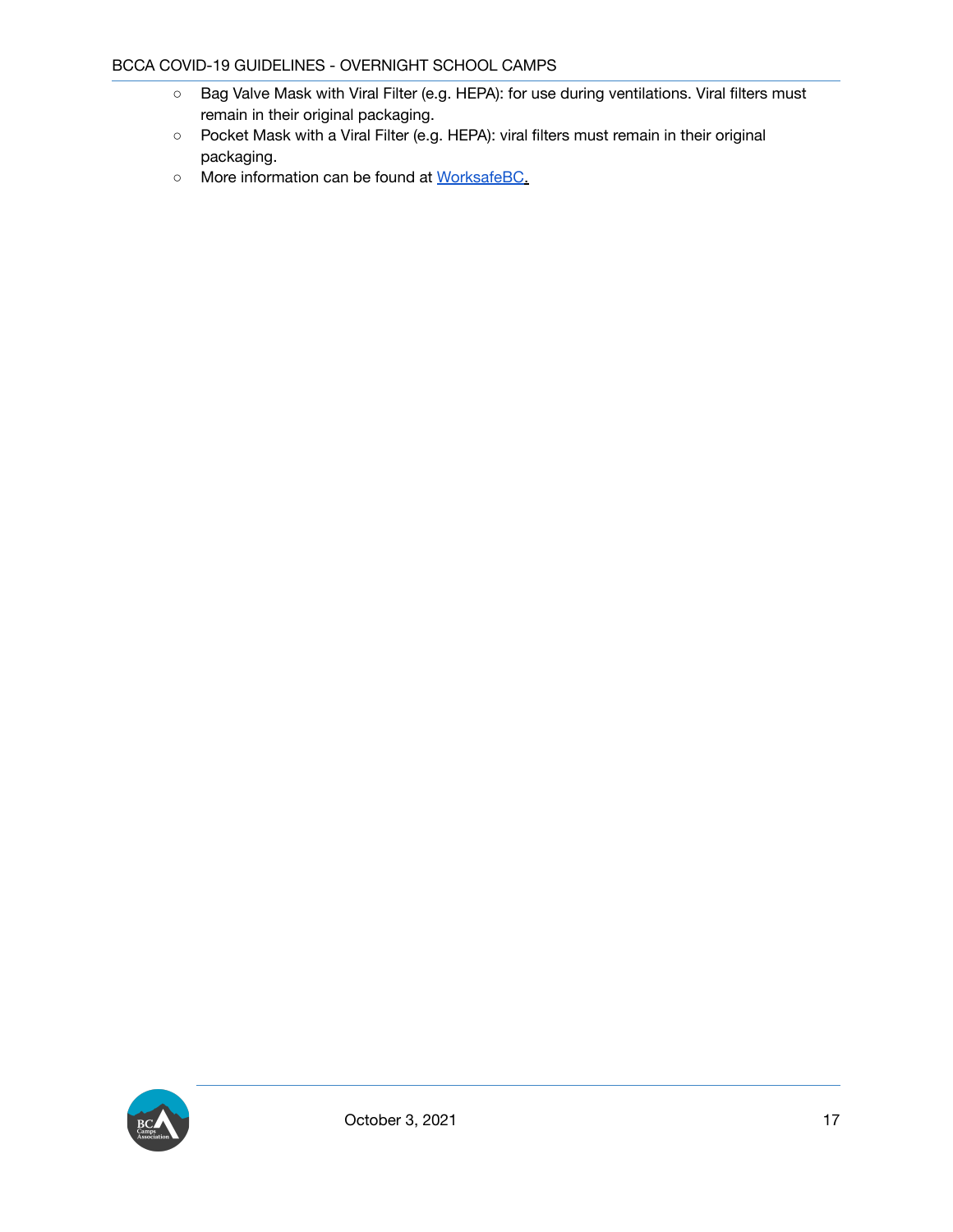- Bag Valve Mask with Viral Filter (e.g. HEPA): for use during ventilations. Viral filters must remain in their original packaging.
- Pocket Mask with a Viral Filter (e.g. HEPA): viral filters must remain in their original packaging.
- More information can be found at [WorksafeBC.](https://www.worksafebc.com/en/resources/health-safety/information-sheets/ofaa-protocols-covid-19-pandemic?lang=en)